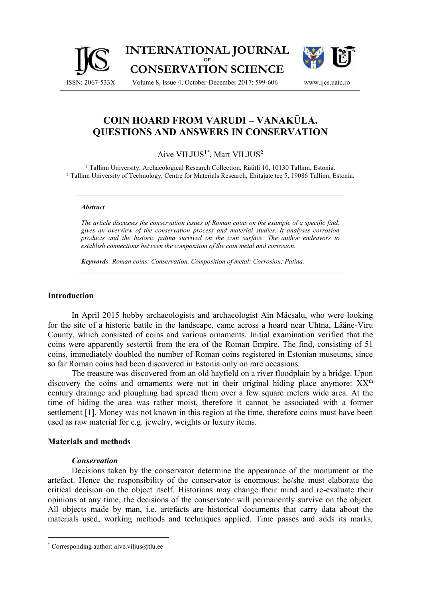

# **COIN HOARD FROM VARUDI – VANAKÜLA. QUESTIONS AND ANSWERS IN CONSERVATION**

## Aive VILJUS<sup>1</sup>*\** , Mart VILJUS<sup>2</sup>

<sup>1</sup> Tallinn University, Archaeological Research Collection, Rüütli 10, 10130 Tallinn, Estonia. ² Tallinn University of Technology, Centre for Materials Research, Ehitajate tee 5, 19086 Tallinn, Estonia.

#### *Abstract*

*The article discusses the conservation issues of Roman coins on the example of a specific find, gives an overview of the conservation process and material studies. It analyses corrosion products and the historic patina survived on the coin surface. The author endeavors to establish connections between the composition of the coin metal and corrosion.*

*Keywords: Roman coins; Conservation, Composition of metal; Corrosion; Patina.*

### **Introduction**

In April 2015 hobby archaeologists and archaeologist Ain Mäesalu, who were looking for the site of a historic battle in the landscape, came across a hoard near Uhtna, Lääne-Viru County, which consisted of coins and various ornaments. Initial examination verified that the coins were apparently sestertii from the era of the Roman Empire. The find, consisting of 51 coins, immediately doubled the number of Roman coins registered in Estonian museums, since so far Roman coins had been discovered in Estonia only on rare occasions.

The treasure was discovered from an old hayfield on a river floodplain by a bridge. Upon discovery the coins and ornaments were not in their original hiding place anymore:  $XX<sup>th</sup>$ century drainage and ploughing had spread them over a few square meters wide area. At the time of hiding the area was rather moist, therefore it cannot be associated with a former settlement [1]. Money was not known in this region at the time, therefore coins must have been used as raw material for e.g. jewelry, weights or luxury items.

#### **Materials and methods**

#### *Conservation*

Decisions taken by the conservator determine the appearance of the monument or the artefact. Hence the responsibility of the conservator is enormous: he/she must elaborate the critical decision on the object itself. Historians may change their mind and re-evaluate their opinions at any time, the decisions of the conservator will permanently survive on the object. All objects made by man, i.e. artefacts are historical documents that carry data about the materials used, working methods and techniques applied. Time passes and adds its marks,

 $*$  Corresponding author: aive.viljus@tlu.ee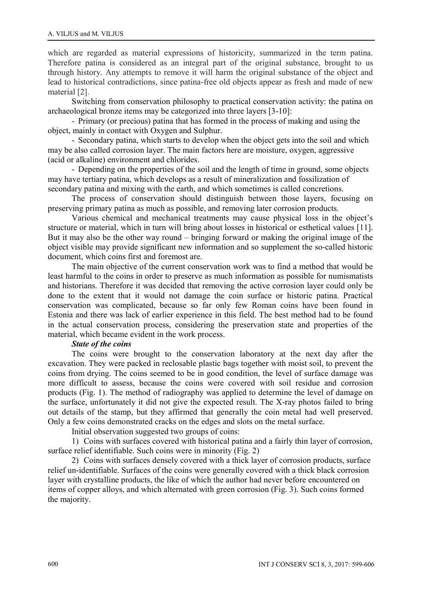which are regarded as material expressions of historicity, summarized in the term patina. Therefore patina is considered as an integral part of the original substance, brought to us through history. Any attempts to remove it will harm the original substance of the object and lead to historical contradictions, since patina-free old objects appear as fresh and made of new material [2].

Switching from conservation philosophy to practical conservation activity: the patina on archaeological bronze items may be categorized into three layers [3-10]:

- Primary (or precious) patina that has formed in the process of making and using the object, mainly in contact with Oxygen and Sulphur.

- Secondary patina, which starts to develop when the object gets into the soil and which may be also called corrosion layer. The main factors here are moisture, oxygen, aggressive (acid or alkaline) environment and chlorides.

- Depending on the properties of the soil and the length of time in ground, some objects may have tertiary patina, which develops as a result of mineralization and fossilization of secondary patina and mixing with the earth, and which sometimes is called concretions.

The process of conservation should distinguish between those layers, focusing on preserving primary patina as much as possible, and removing later corrosion products.

Various chemical and mechanical treatments may cause physical loss in the object's structure or material, which in turn will bring about losses in historical or esthetical values [11]. But it may also be the other way round – bringing forward or making the original image of the object visible may provide significant new information and so supplement the so-called historic document, which coins first and foremost are.

The main objective of the current conservation work was to find a method that would be least harmful to the coins in order to preserve as much information as possible for numismatists and historians. Therefore it was decided that removing the active corrosion layer could only be done to the extent that it would not damage the coin surface or historic patina. Practical conservation was complicated, because so far only few Roman coins have been found in Estonia and there was lack of earlier experience in this field. The best method had to be found in the actual conservation process, considering the preservation state and properties of the material, which became evident in the work process.

## *State of the coins*

The coins were brought to the conservation laboratory at the next day after the excavation. They were packed in reclosable plastic bags together with moist soil, to prevent the coins from drying. The coins seemed to be in good condition, the level of surface damage was more difficult to assess, because the coins were covered with soil residue and corrosion products (Fig. 1). The method of radiography was applied to determine the level of damage on the surface, unfortunately it did not give the expected result. The X-ray photos failed to bring out details of the stamp, but they affirmed that generally the coin metal had well preserved. Only a few coins demonstrated cracks on the edges and slots on the metal surface.

Initial observation suggested two groups of coins:

1) Coins with surfaces covered with historical patina and a fairly thin layer of corrosion, surface relief identifiable. Such coins were in minority (Fig. 2)

2) Coins with surfaces densely covered with a thick layer of corrosion products, surface relief un-identifiable. Surfaces of the coins were generally covered with a thick black corrosion layer with crystalline products, the like of which the author had never before encountered on items of copper alloys, and which alternated with green corrosion (Fig. 3). Such coins formed the majority.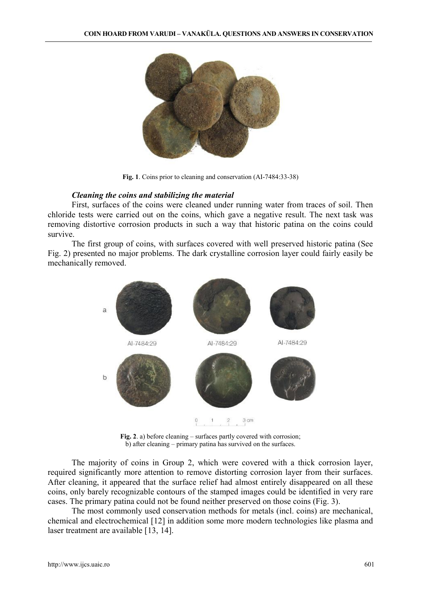

**Fig. 1**. Coins prior to cleaning and conservation (AI-7484:33-38)

## *Cleaning the coins and stabilizing the material*

First, surfaces of the coins were cleaned under running water from traces of soil. Then chloride tests were carried out on the coins, which gave a negative result. The next task was removing distortive corrosion products in such a way that historic patina on the coins could survive.

The first group of coins, with surfaces covered with well preserved historic patina (See Fig. 2) presented no major problems. The dark crystalline corrosion layer could fairly easily be mechanically removed.



**Fig. 2**. a) before cleaning – surfaces partly covered with corrosion; b) after cleaning – primary patina has survived on the surfaces.

The majority of coins in Group 2, which were covered with a thick corrosion layer, required significantly more attention to remove distorting corrosion layer from their surfaces. After cleaning, it appeared that the surface relief had almost entirely disappeared on all these coins, only barely recognizable contours of the stamped images could be identified in very rare cases. The primary patina could not be found neither preserved on those coins (Fig. 3).

The most commonly used conservation methods for metals (incl. coins) are mechanical, chemical and electrochemical [12] in addition some more modern technologies like plasma and laser treatment are available [13, 14].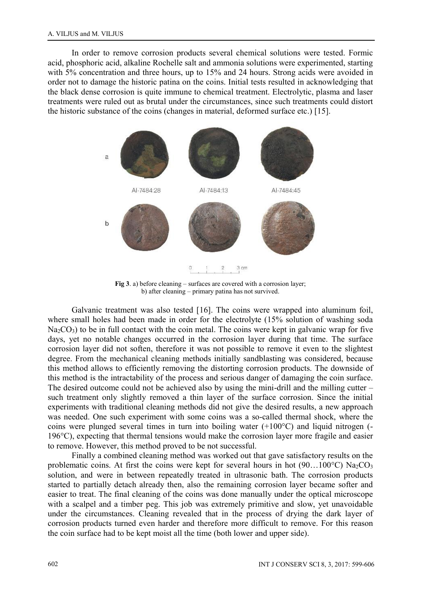In order to remove corrosion products several chemical solutions were tested. Formic acid, phosphoric acid, alkaline Rochelle salt and ammonia solutions were experimented, starting with 5% concentration and three hours, up to 15% and 24 hours. Strong acids were avoided in order not to damage the historic patina on the coins. Initial tests resulted in acknowledging that the black dense corrosion is quite immune to chemical treatment. Electrolytic, plasma and laser treatments were ruled out as brutal under the circumstances, since such treatments could distort the historic substance of the coins (changes in material, deformed surface etc.) [15].



**Fig 3**. a) before cleaning – surfaces are covered with a corrosion layer; b) after cleaning – primary patina has not survived.

Galvanic treatment was also tested [16]. The coins were wrapped into aluminum foil, where small holes had been made in order for the electrolyte (15% solution of washing soda  $Na<sub>2</sub>CO<sub>3</sub>$ ) to be in full contact with the coin metal. The coins were kept in galvanic wrap for five days, yet no notable changes occurred in the corrosion layer during that time. The surface corrosion layer did not soften, therefore it was not possible to remove it even to the slightest degree. From the mechanical cleaning methods initially sandblasting was considered, because this method allows to efficiently removing the distorting corrosion products. The downside of this method is the intractability of the process and serious danger of damaging the coin surface. The desired outcome could not be achieved also by using the mini-drill and the milling cutter – such treatment only slightly removed a thin layer of the surface corrosion. Since the initial experiments with traditional cleaning methods did not give the desired results, a new approach was needed. One such experiment with some coins was a so-called thermal shock, where the coins were plunged several times in turn into boiling water (+100°C) and liquid nitrogen (- 196°C), expecting that thermal tensions would make the corrosion layer more fragile and easier to remove. However, this method proved to be not successful.

Finally a combined cleaning method was worked out that gave satisfactory results on the problematic coins. At first the coins were kept for several hours in hot (90...100 $^{\circ}$ C) Na<sub>2</sub>CO<sub>3</sub> solution, and were in between repeatedly treated in ultrasonic bath. The corrosion products started to partially detach already then, also the remaining corrosion layer became softer and easier to treat. The final cleaning of the coins was done manually under the optical microscope with a scalpel and a timber peg. This job was extremely primitive and slow, yet unavoidable under the circumstances. Cleaning revealed that in the process of drying the dark layer of corrosion products turned even harder and therefore more difficult to remove. For this reason the coin surface had to be kept moist all the time (both lower and upper side).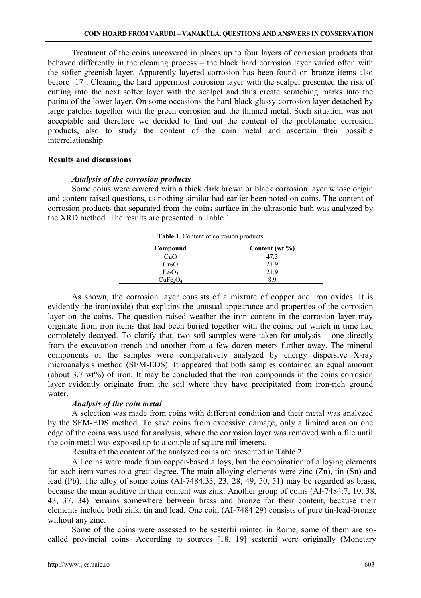Treatment of the coins uncovered in places up to four layers of corrosion products that behaved differently in the cleaning process – the black hard corrosion layer varied often with the softer greenish layer. Apparently layered corrosion has been found on bronze items also before [17]. Cleaning the hard uppermost corrosion layer with the scalpel presented the risk of cutting into the next softer layer with the scalpel and thus create scratching marks into the patina of the lower layer. On some occasions the hard black glassy corrosion layer detached by large patches together with the green corrosion and the thinned metal. Such situation was not acceptable and therefore we decided to find out the content of the problematic corrosion products, also to study the content of the coin metal and ascertain their possible interrelationship.

#### **Results and discussions**

#### *Analysis of the corrosion products*

Some coins were covered with a thick dark brown or black corrosion layer whose origin and content raised questions, as nothing similar had earlier been noted on coins. The content of corrosion products that separated from the coins surface in the ultrasonic bath was analyzed by the XRD method. The results are presented in Table 1.

| Compound                         | Content (wt %) |  |  |  |  |
|----------------------------------|----------------|--|--|--|--|
| CuO                              | 47.3           |  |  |  |  |
| Cu <sub>2</sub> O                | 21.9           |  |  |  |  |
| Fe <sub>2</sub> O <sub>3</sub>   | 21.9           |  |  |  |  |
| CuFe <sub>2</sub> O <sub>4</sub> | 8.9            |  |  |  |  |

**Table 1.** Content of corrosion products

As shown, the corrosion layer consists of a mixture of copper and iron oxides. It is evidently the iron(oxide) that explains the unusual appearance and properties of the corrosion layer on the coins. The question raised weather the iron content in the corrosion layer may originate from iron items that had been buried together with the coins, but which in time had completely decayed. To clarify that, two soil samples were taken for analysis – one directly from the excavation trench and another from a few dozen meters further away. The mineral components of the samples were comparatively analyzed by energy dispersive X-ray microanalysis method (SEM-EDS). It appeared that both samples contained an equal amount (about 3.7 wt%) of iron. It may be concluded that the iron compounds in the coins corrosion layer evidently originate from the soil where they have precipitated from iron-rich ground water.

## *Analysis of the coin metal*

A selection was made from coins with different condition and their metal was analyzed by the SEM-EDS method. To save coins from excessive damage, only a limited area on one edge of the coins was used for analysis, where the corrosion layer was removed with a file until the coin metal was exposed up to a couple of square millimeters.

Results of the content of the analyzed coins are presented in Table 2.

All coins were made from copper-based alloys, but the combination of alloying elements for each item varies to a great degree. The main alloying elements were zinc  $(Zn)$ , tin  $(Sn)$  and lead (Pb). The alloy of some coins (AI-7484:33, 23, 28, 49, 50, 51) may be regarded as brass, because the main additive in their content was zink. Another group of coins (AI-7484:7, 10, 38, 43, 37, 34) remains somewhere between brass and bronze for their content, because their elements include both zink, tin and lead. One coin (AI-7484:29) consists of pure tin-lead-bronze without any zinc.

Some of the coins were assessed to be sestertii minted in Rome, some of them are so called provincial coins. According to sources [18, 19] sestertii were originally (Monetary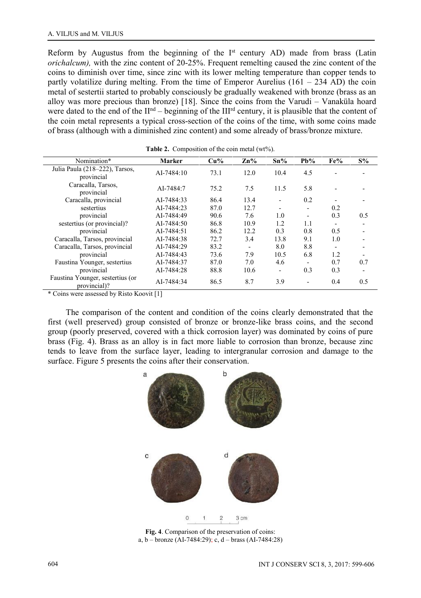Reform by Augustus from the beginning of the  $I<sup>st</sup>$  century AD) made from brass (Latin *orichalcum),* with the zinc content of 20-25%. Frequent remelting caused the zinc content of the coins to diminish over time, since zinc with its lower melting temperature than copper tends to partly volatilize during melting. From the time of Emperor Aurelius  $(161 - 234$  AD) the coin metal of sestertii started to probably consciously be gradually weakened with bronze (brass as an alloy was more precious than bronze) [18]. Since the coins from the Varudi – Vanaküla hoard were dated to the end of the II<sup>nd</sup> – beginning of the III<sup>rd</sup> century, it is plausible that the content of the coin metal represents a typical cross-section of the coins of the time, with some coins made of brass (although with a diminished zinc content) and some already of brass/bronze mixture.

| Nomination*                                      | <b>Marker</b> | $Cu\%$ | $\mathbf{Zn}$ % | $Sn\%$ | $Pb\%$                   | Fe%                      | $S\%$ |
|--------------------------------------------------|---------------|--------|-----------------|--------|--------------------------|--------------------------|-------|
| Julia Paula (218–222), Tarsos,<br>provincial     | AI-7484:10    | 73.1   | 12.0            | 10.4   | 4.5                      |                          |       |
| Caracalla, Tarsos,<br>provincial                 | AI-7484:7     | 75.2   | 7.5             | 11.5   | 5.8                      |                          |       |
| Caracalla, provincial                            | AI-7484:33    | 86.4   | 13.4            |        | 0.2                      |                          |       |
| sestertius                                       | AI-7484:23    | 87.0   | 12.7            |        |                          | 0.2                      |       |
| provincial                                       | AI-7484:49    | 90.6   | 7.6             | 1.0    | $\overline{\phantom{a}}$ | 0.3                      | 0.5   |
| sestertius (or provincial)?                      | AI-7484:50    | 86.8   | 10.9            | 1.2    | 1.1                      | $\overline{\phantom{a}}$ | -     |
| provincial                                       | AI-7484:51    | 86.2   | 12.2            | 0.3    | 0.8                      | 0.5                      |       |
| Caracalla, Tarsos, provincial                    | AI-7484:38    | 72.7   | 3.4             | 13.8   | 9.1                      | 1.0                      |       |
| Caracalla, Tarsos, provincial                    | AI-7484:29    | 83.2   | ۰               | 8.0    | 8.8                      |                          |       |
| provincial                                       | AI-7484:43    | 73.6   | 7.9             | 10.5   | 6.8                      | 1.2                      |       |
| Faustina Younger, sestertius                     | AI-7484:37    | 87.0   | 7.0             | 4.6    | $\overline{\phantom{a}}$ | 0.7                      | 0.7   |
| provincial                                       | AI-7484:28    | 88.8   | 10.6            | ٠      | 0.3                      | 0.3                      |       |
| Faustina Younger, sestertius (or<br>provincial)? | AI-7484:34    | 86.5   | 8.7             | 3.9    | $\blacksquare$           | 0.4                      | 0.5   |

Table 2. Composition of the coin metal (wt%).

\* Coins were assessed by Risto Koovit [1]

The comparison of the content and condition of the coins clearly demonstrated that the first (well preserved) group consisted of bronze or bronze-like brass coins, and the second group (poorly preserved, covered with a thick corrosion layer) was dominated by coins of pure brass (Fig. 4). Brass as an alloy is in fact more liable to corrosion than bronze, because zinc tends to leave from the surface layer, leading to intergranular corrosion and damage to the surface. Figure 5 presents the coins after their conservation.



**Fig. 4**. Comparison of the preservation of coins: a, b – bronze (AI-7484:29); c, d – brass (AI-7484:28)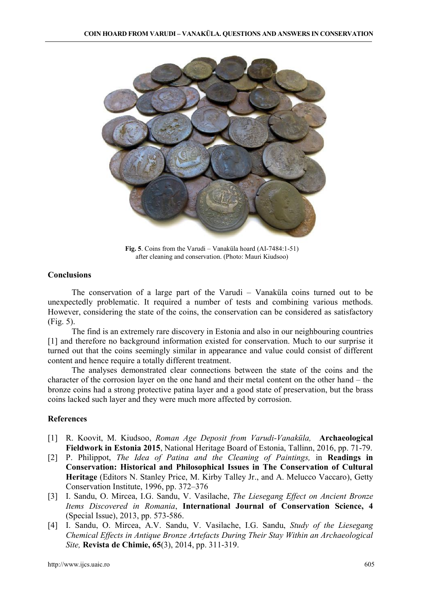

**Fig. 5**. Coins from the Varudi – Vanaküla hoard (AI-7484:1-51) after cleaning and conservation. (Photo: Mauri Kiudsoo)

## **Conclusions**

The conservation of a large part of the Varudi – Vanaküla coins turned out to be unexpectedly problematic. It required a number of tests and combining various methods. However, considering the state of the coins, the conservation can be considered as satisfactory (Fig. 5).

The find is an extremely rare discovery in Estonia and also in our neighbouring countries [1] and therefore no background information existed for conservation. Much to our surprise it turned out that the coins seemingly similar in appearance and value could consist of different content and hence require a totally different treatment.

The analyses demonstrated clear connections between the state of the coins and the character of the corrosion layer on the one hand and their metal content on the other hand – the bronze coins had a strong protective patina layer and a good state of preservation, but the brass coins lacked such layer and they were much more affected by corrosion.

## **References**

- [1] R. Koovit, M. Kiudsoo, *Roman Age Deposit from Varudi-Vanaküla,* **Archaeological Fieldwork in Estonia 2015**, National Heritage Board of Estonia, Tallinn, 2016, pp. 71-79.
- [2] P. Philippot, *The Idea of Patina and the Cleaning of Paintings,* in **Readings in Conservation: Historical and Philosophical Issues in The Conservation of Cultural Heritage** (Editors N. Stanley Price, M. Kirby Talley Jr., and A. Melucco Vaccaro), Getty Conservation Institute, 1996, pp. 372–376
- [3] I. Sandu, O. Mircea, I.G. Sandu, V. Vasilache, *The Liesegang Effect on Ancient Bronze Items Discovered in Romania*, **International Journal of Conservation Science, 4** (Special Issue), 2013, pp. 573-586.
- [4] I. Sandu, O. Mircea, A.V. Sandu, V. Vasilache, I.G. Sandu, *Study of the Liesegang Chemical Effects in Antique Bronze Artefacts During Their Stay Within an Archaeological Site,* **Revista de Chimie, 65**(3), 2014, pp. 311-319.